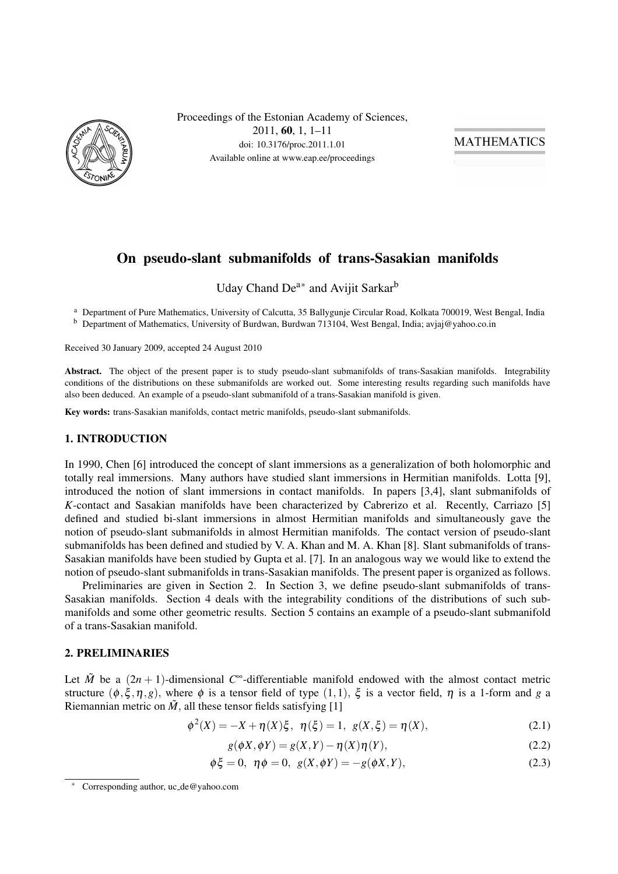

Proceedings of the Estonian Academy of Sciences, 2011, 60, 1, 1–11 doi: 10.3176/proc.2011.1.01 Available online at www.eap.ee/proceedings

**MATHEMATICS** 

# On pseudo-slant submanifolds of trans-Sasakian manifolds

Uday Chand De<sup>a\*</sup> and Avijit Sarkar<sup>b</sup>

<sup>a</sup> Department of Pure Mathematics, University of Calcutta, 35 Ballygunje Circular Road, Kolkata 700019, West Bengal, India

<sup>b</sup> Department of Mathematics, University of Burdwan, Burdwan 713104, West Bengal, India; avjaj@yahoo.co.in

Received 30 January 2009, accepted 24 August 2010

Abstract. The object of the present paper is to study pseudo-slant submanifolds of trans-Sasakian manifolds. Integrability conditions of the distributions on these submanifolds are worked out. Some interesting results regarding such manifolds have also been deduced. An example of a pseudo-slant submanifold of a trans-Sasakian manifold is given.

Key words: trans-Sasakian manifolds, contact metric manifolds, pseudo-slant submanifolds.

### 1. INTRODUCTION

In 1990, Chen [6] introduced the concept of slant immersions as a generalization of both holomorphic and totally real immersions. Many authors have studied slant immersions in Hermitian manifolds. Lotta [9], introduced the notion of slant immersions in contact manifolds. In papers [3,4], slant submanifolds of *K*-contact and Sasakian manifolds have been characterized by Cabrerizo et al. Recently, Carriazo [5] defined and studied bi-slant immersions in almost Hermitian manifolds and simultaneously gave the notion of pseudo-slant submanifolds in almost Hermitian manifolds. The contact version of pseudo-slant submanifolds has been defined and studied by V. A. Khan and M. A. Khan [8]. Slant submanifolds of trans-Sasakian manifolds have been studied by Gupta et al. [7]. In an analogous way we would like to extend the notion of pseudo-slant submanifolds in trans-Sasakian manifolds. The present paper is organized as follows.

Preliminaries are given in Section 2. In Section 3, we define pseudo-slant submanifolds of trans-Sasakian manifolds. Section 4 deals with the integrability conditions of the distributions of such submanifolds and some other geometric results. Section 5 contains an example of a pseudo-slant submanifold of a trans-Sasakian manifold.

### 2. PRELIMINARIES

Let  $\tilde{M}$  be a  $(2n + 1)$ -dimensional  $C^{\infty}$ -differentiable manifold endowed with the almost contact metric structure  $(\phi, \xi, \eta, g)$ , where  $\phi$  is a tensor field of type  $(1,1)$ ,  $\xi$  is a vector field,  $\eta$  is a 1-form and *g* a Riemannian metric on  $\tilde{M}$ , all these tensor fields satisfying [1]

$$
\phi^{2}(X) = -X + \eta(X)\xi, \ \eta(\xi) = 1, \ g(X,\xi) = \eta(X), \tag{2.1}
$$

$$
g(\phi X, \phi Y) = g(X, Y) - \eta(X)\eta(Y), \qquad (2.2)
$$

$$
\phi \xi = 0, \ \eta \phi = 0, \ g(X, \phi Y) = -g(\phi X, Y), \tag{2.3}
$$

<sup>∗</sup> Corresponding author, uc de@yahoo.com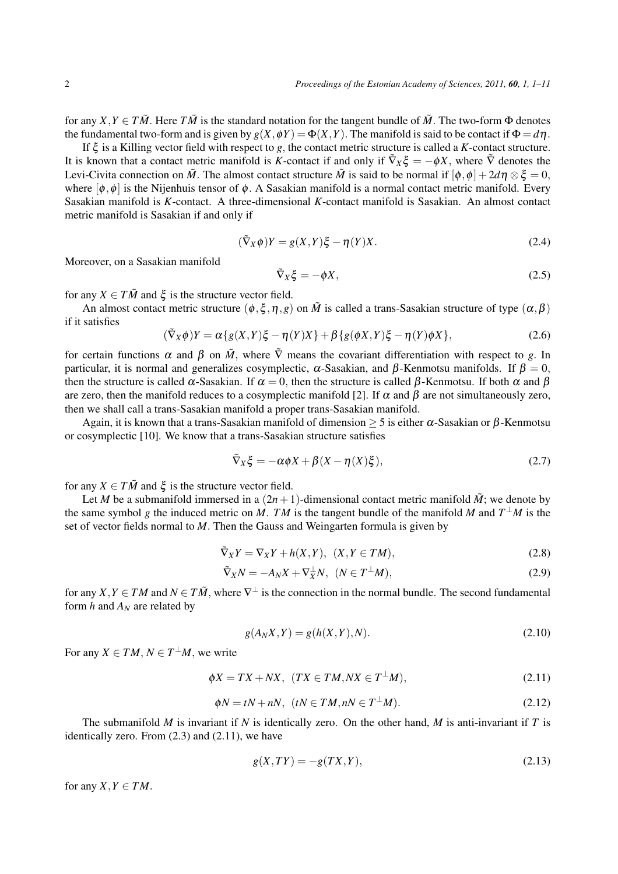for any  $X, Y \in T\tilde{M}$ . Here  $T\tilde{M}$  is the standard notation for the tangent bundle of  $\tilde{M}$ . The two-form  $\Phi$  denotes the fundamental two-form and is given by  $g(X, \phi Y) = \Phi(X, Y)$ . The manifold is said to be contact if  $\Phi = d\eta$ .

If ξ is a Killing vector field with respect to *g*, the contact metric structure is called a *K*-contact structure. It is known that a contact metric manifold is K-contact if and only if  $\tilde{\nabla}_X \xi = -\phi X$ , where  $\tilde{\nabla}$  denotes the Levi-Civita connection on  $\tilde{M}$ . The almost contact structure  $\tilde{M}$  is said to be normal if  $[\phi, \phi] + 2d\eta \otimes \xi = 0$ , where  $[\phi, \phi]$  is the Nijenhuis tensor of  $\phi$ . A Sasakian manifold is a normal contact metric manifold. Every Sasakian manifold is *K*-contact. A three-dimensional *K*-contact manifold is Sasakian. An almost contact metric manifold is Sasakian if and only if

$$
(\tilde{\nabla}_X \phi)Y = g(X, Y)\xi - \eta(Y)X.
$$
\n(2.4)

Moreover, on a Sasakian manifold

$$
\tilde{\nabla}_X \xi = -\phi X,\tag{2.5}
$$

for any  $X \in T\tilde{M}$  and  $\xi$  is the structure vector field.

An almost contact metric structure  $(\phi, \xi, \eta, g)$  on  $\tilde{M}$  is called a trans-Sasakian structure of type  $(\alpha, \beta)$ if it satisfies

$$
(\tilde{\nabla}_X \phi)Y = \alpha \{ g(X,Y)\xi - \eta(Y)X \} + \beta \{ g(\phi X,Y)\xi - \eta(Y)\phi X \},\tag{2.6}
$$

for certain functions  $\alpha$  and  $\beta$  on  $\tilde{M}$ , where  $\tilde{V}$  means the covariant differentiation with respect to *g*. In particular, it is normal and generalizes cosymplectic,  $\alpha$ -Sasakian, and  $\beta$ -Kenmotsu manifolds. If  $\beta = 0$ , then the structure is called  $\alpha$ -Sasakian. If  $\alpha = 0$ , then the structure is called  $\beta$ -Kenmotsu. If both  $\alpha$  and  $\beta$ are zero, then the manifold reduces to a cosymplectic manifold [2]. If  $\alpha$  and  $\beta$  are not simultaneously zero, then we shall call a trans-Sasakian manifold a proper trans-Sasakian manifold.

Again, it is known that a trans-Sasakian manifold of dimension  $\geq$  5 is either  $\alpha$ -Sasakian or  $\beta$ -Kenmotsu or cosymplectic [10]. We know that a trans-Sasakian structure satisfies

$$
\tilde{\nabla}_X \xi = -\alpha \phi X + \beta (X - \eta(X)\xi), \qquad (2.7)
$$

for any  $X \in T\tilde{M}$  and  $\xi$  is the structure vector field.

Let *M* be a submanifold immersed in a  $(2n+1)$ -dimensional contact metric manifold  $\tilde{M}$ ; we denote by the same symbol *g* the induced metric on *M*. *TM* is the tangent bundle of the manifold *M* and  $T^{\perp}M$  is the set of vector fields normal to *M*. Then the Gauss and Weingarten formula is given by

$$
\tilde{\nabla}_X Y = \nabla_X Y + h(X, Y), \ (X, Y \in TM), \tag{2.8}
$$

$$
\tilde{\nabla}_X N = -A_N X + \nabla_X^{\perp} N, \quad (N \in T^{\perp} M), \tag{2.9}
$$

for any  $X, Y \in TM$  and  $N \in T\tilde{M}$ , where  $\nabla^{\perp}$  is the connection in the normal bundle. The second fundamental form *h* and *A<sup>N</sup>* are related by

$$
g(A_N X, Y) = g(h(X, Y), N).
$$
\n(2.10)

For any  $X \in TM$ ,  $N \in T^{\perp}M$ , we write

$$
\phi X = TX + N X, \ (TX \in TM, N X \in T^{\perp} M), \tag{2.11}
$$

$$
\phi N = tN + nN, \ \ (tN \in TM, nN \in T^{\perp}M). \tag{2.12}
$$

The submanifold *M* is invariant if *N* is identically zero. On the other hand, *M* is anti-invariant if *T* is identically zero. From (2.3) and (2.11), we have

$$
g(X, TY) = -g(TX, Y),\tag{2.13}
$$

for any  $X, Y \in TM$ .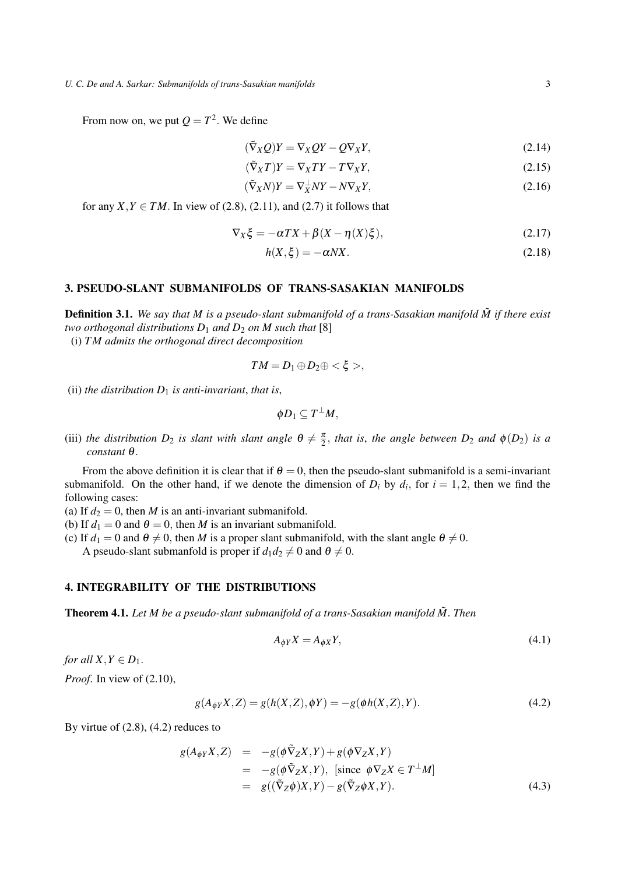From now on, we put  $Q = T^2$ . We define

$$
(\tilde{\nabla}_X Q)Y = \nabla_X QY - Q\nabla_X Y,
$$
\n(2.14)

$$
(\tilde{\nabla}_X T)Y = \nabla_X TY - T \nabla_X Y,\tag{2.15}
$$

$$
(\tilde{\nabla}_X N)Y = \nabla_X^{\perp} NY - N \nabla_X Y,\tag{2.16}
$$

for any  $X, Y \in TM$ . In view of (2.8), (2.11), and (2.7) it follows that

$$
\nabla_X \xi = -\alpha TX + \beta (X - \eta(X)\xi), \qquad (2.17)
$$

$$
h(X,\xi) = -\alpha N X. \tag{2.18}
$$

### 3. PSEUDO-SLANT SUBMANIFOLDS OF TRANS-SASAKIAN MANIFOLDS

**Definition 3.1.** We say that M is a pseudo-slant submanifold of a trans-Sasakian manifold  $\tilde{M}$  if there exist *two orthogonal distributions*  $D_1$  *and*  $D_2$  *on*  $M$  *such that* [8]

(i) *T M admits the orthogonal direct decomposition*

$$
TM=D_1\oplus D_2\oplus<\xi>,
$$

(ii) *the distribution*  $D_1$  *is anti-invariant, that is,* 

$$
\phi D_1\subseteq T^{\perp}M,
$$

(iii) the distribution  $D_2$  is slant with slant angle  $\theta \neq \frac{\pi}{2}$ , that is, the angle between  $D_2$  and  $\phi(D_2)$  is a *constant* <sup>θ</sup>.

From the above definition it is clear that if  $\theta = 0$ , then the pseudo-slant submanifold is a semi-invariant submanifold. On the other hand, if we denote the dimension of  $D_i$  by  $d_i$ , for  $i = 1, 2$ , then we find the following cases:

- (a) If  $d_2 = 0$ , then *M* is an anti-invariant submanifold.
- (b) If  $d_1 = 0$  and  $\theta = 0$ , then *M* is an invariant submanifold.
- (c) If  $d_1 = 0$  and  $\theta \neq 0$ , then *M* is a proper slant submanifold, with the slant angle  $\theta \neq 0$ .

A pseudo-slant submanfold is proper if  $d_1 d_2 \neq 0$  and  $\theta \neq 0$ .

### 4. INTEGRABILITY OF THE DISTRIBUTIONS

Theorem 4.1. *Let M be a pseudo-slant submanifold of a trans-Sasakian manifold M*˜ . *Then*

$$
A_{\phi Y} X = A_{\phi X} Y,\tag{4.1}
$$

*for all*  $X, Y \in D_1$ .

*Proof*. In view of (2.10),

$$
g(A_{\phi Y}X, Z) = g(h(X, Z), \phi Y) = -g(\phi h(X, Z), Y). \tag{4.2}
$$

By virtue of  $(2.8)$ ,  $(4.2)$  reduces to

$$
g(A_{\phi Y}X, Z) = -g(\phi \tilde{\nabla}_Z X, Y) + g(\phi \nabla_Z X, Y)
$$
  
= 
$$
-g(\phi \tilde{\nabla}_Z X, Y), \text{ [since } \phi \nabla_Z X \in T^{\perp}M]
$$
  
= 
$$
g((\tilde{\nabla}_Z \phi)X, Y) - g(\tilde{\nabla}_Z \phi X, Y).
$$
 (4.3)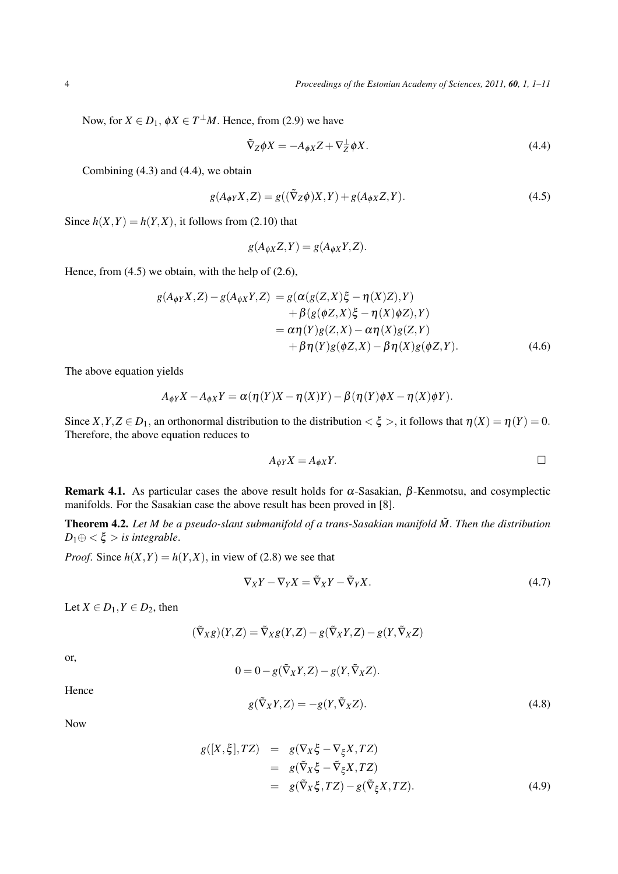Now, for  $X \in D_1$ ,  $\phi X \in T^{\perp}M$ . Hence, from (2.9) we have

$$
\tilde{\nabla}_Z \phi X = -A_{\phi X} Z + \nabla_Z^{\perp} \phi X. \tag{4.4}
$$

Combining (4.3) and (4.4), we obtain

$$
g(A_{\phi Y}X, Z) = g((\tilde{\nabla}_Z \phi)X, Y) + g(A_{\phi X}Z, Y). \tag{4.5}
$$

Since  $h(X, Y) = h(Y, X)$ , it follows from (2.10) that

$$
g(A_{\phi X}Z, Y) = g(A_{\phi X}Y, Z).
$$

Hence, from (4.5) we obtain, with the help of (2.6),

$$
g(A_{\phi Y}X, Z) - g(A_{\phi X}Y, Z) = g(\alpha(g(Z, X)\xi - \eta(X)Z), Y)
$$
  
+ 
$$
\beta(g(\phi Z, X)\xi - \eta(X)\phi Z), Y)
$$
  
= 
$$
\alpha \eta(Y)g(Z, X) - \alpha \eta(X)g(Z, Y)
$$
  
+ 
$$
\beta \eta(Y)g(\phi Z, X) - \beta \eta(X)g(\phi Z, Y).
$$
 (4.6)

The above equation yields

$$
A_{\phi Y}X - A_{\phi X}Y = \alpha(\eta(Y)X - \eta(X)Y) - \beta(\eta(Y)\phi X - \eta(X)\phi Y).
$$

Since  $X, Y, Z \in D_1$ , an orthonormal distribution to the distribution  $\langle \xi \rangle$ , it follows that  $\eta(X) = \eta(Y) = 0$ . Therefore, the above equation reduces to

$$
A_{\phi Y} X = A_{\phi X} Y.
$$

Remark 4.1. As particular cases the above result holds for  $\alpha$ -Sasakian, β-Kenmotsu, and cosymplectic manifolds. For the Sasakian case the above result has been proved in [8].

Theorem 4.2. *Let M be a pseudo-slant submanifold of a trans-Sasakian manifold M*˜ . *Then the distribution*  $D_1 \oplus \langle \xi \rangle$  *is integrable.* 

*Proof.* Since  $h(X, Y) = h(Y, X)$ , in view of (2.8) we see that

$$
\nabla_X Y - \nabla_Y X = \tilde{\nabla}_X Y - \tilde{\nabla}_Y X. \tag{4.7}
$$

Let  $X \in D_1, Y \in D_2$ , then

 $(\tilde{\nabla}_X g)(Y, Z) = \tilde{\nabla}_X g(Y, Z) - g(\tilde{\nabla}_X Y, Z) - g(Y, \tilde{\nabla}_X Z)$ 

or,

$$
0 = 0 - g(\tilde{\nabla}_X Y, Z) - g(Y, \tilde{\nabla}_X Z).
$$

Hence

$$
g(\tilde{\nabla}_X Y, Z) = -g(Y, \tilde{\nabla}_X Z). \tag{4.8}
$$

Now

$$
g([X,\xi],TZ) = g(\nabla_X \xi - \nabla_\xi X, TZ)
$$
  
=  $g(\tilde{\nabla}_X \xi - \tilde{\nabla}_\xi X, TZ)$   
=  $g(\tilde{\nabla}_X \xi, TZ) - g(\tilde{\nabla}_\xi X, TZ).$  (4.9)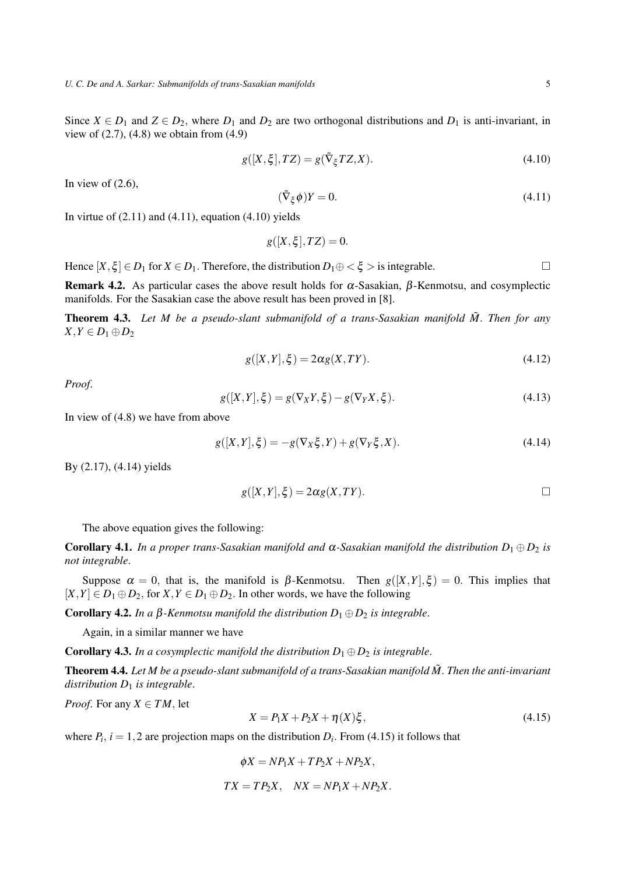$$
g([X,\xi],TZ) = g(\tilde{\nabla}_{\xi}TZ, X). \tag{4.10}
$$

In view of  $(2.6)$ ,

$$
(\tilde{\nabla}_{\xi}\phi)Y = 0.\tag{4.11}
$$

In virtue of  $(2.11)$  and  $(4.11)$ , equation  $(4.10)$  yields

$$
g([X,\xi],TZ)=0
$$

Hence  $[X, \xi] \in D_1$  for  $X \in D_1$ . Therefore, the distribution  $D_1 \oplus \langle \xi \rangle$  is integrable.

Remark 4.2. As particular cases the above result holds for  $\alpha$ -Sasakian,  $\beta$ -Kenmotsu, and cosymplectic manifolds. For the Sasakian case the above result has been proved in [8].

Theorem 4.3. *Let M be a pseudo-slant submanifold of a trans-Sasakian manifold M*˜ . *Then for any X*, *Y* ∈ *D*<sub>1</sub> ⊕ *D*<sub>2</sub>

$$
g([X,Y],\xi) = 2\alpha g(X,TY). \tag{4.12}
$$

*Proof*.

$$
g([X,Y],\xi) = g(\nabla_X Y, \xi) - g(\nabla_Y X, \xi). \tag{4.13}
$$

In view of (4.8) we have from above

$$
g([X,Y],\xi) = -g(\nabla_X \xi, Y) + g(\nabla_Y \xi, X). \tag{4.14}
$$

By (2.17), (4.14) yields

$$
g([X,Y],\xi) = 2\alpha g(X,TY).
$$

The above equation gives the following:

**Corollary 4.1.** *In a proper trans-Sasakian manifold and*  $\alpha$ -Sasakian manifold the distribution  $D_1 \oplus D_2$  is *not integrable*.

Suppose  $\alpha = 0$ , that is, the manifold is  $\beta$ -Kenmotsu. Then  $g([X,Y],\xi) = 0$ . This implies that  $[X, Y] \in D_1 \oplus D_2$ , for  $X, Y \in D_1 \oplus D_2$ . In other words, we have the following

Corollary 4.2. *In a* β*-Kenmotsu manifold the distribution D*<sup>1</sup> ⊕*D*<sup>2</sup> *is integrable*.

Again, in a similar manner we have

**Corollary 4.3.** *In a cosymplectic manifold the distribution*  $D_1 \oplus D_2$  *is integrable.* 

Theorem 4.4. *Let M be a pseudo-slant submanifold of a trans-Sasakian manifold M*˜. *Then the anti-invariant distribution D*<sup>1</sup> *is integrable*.

*Proof.* For any  $X \in TM$ , let

$$
X = P_1 X + P_2 X + \eta(X)\xi,
$$
\n(4.15)

where  $P_i$ ,  $i = 1, 2$  are projection maps on the distribution  $D_i$ . From (4.15) it follows that

 $\phi X = NP_1X + TP_2X + NP_2X$ ,  $TX = TP_2X$ ,  $NX = NP_1X + NP_2X$ .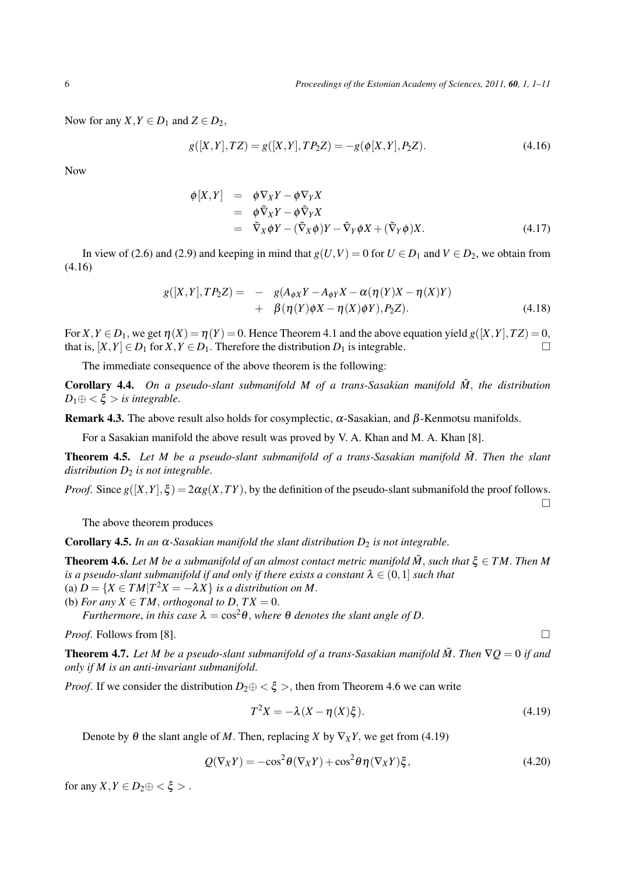Now for any *X*,  $Y \in D_1$  and  $Z \in D_2$ ,

$$
g([X,Y],TZ) = g([X,Y],TP_2Z) = -g(\phi[X,Y],P_2Z). \tag{4.16}
$$

Now

$$
\begin{array}{rcl}\n\phi[X,Y] & = & \phi \nabla_X Y - \phi \nabla_Y X \\
& = & \phi \tilde{\nabla}_X Y - \phi \tilde{\nabla}_Y X \\
& = & \tilde{\nabla}_X \phi Y - (\tilde{\nabla}_X \phi) Y - \tilde{\nabla}_Y \phi X + (\tilde{\nabla}_Y \phi) X.\n\end{array} \tag{4.17}
$$

In view of (2.6) and (2.9) and keeping in mind that  $g(U,V) = 0$  for  $U \in D_1$  and  $V \in D_2$ , we obtain from (4.16)

$$
g([X,Y],TP_2Z) = -g(A_{\phi X}Y - A_{\phi Y}X - \alpha(\eta(Y)X - \eta(X)Y) + \beta(\eta(Y)\phi X - \eta(X)\phi Y), P_2Z).
$$
 (4.18)

For  $X, Y \in D_1$ , we get  $\eta(X) = \eta(Y) = 0$ . Hence Theorem 4.1 and the above equation yield  $g([X, Y], TZ) = 0$ , that is,  $[X, Y] \in D_1$  for  $X, Y \in D_1$ . Therefore the distribution  $D_1$  is integrable.

The immediate consequence of the above theorem is the following:

Corollary 4.4. *On a pseudo-slant submanifold M of a trans-Sasakian manifold M*˜ , *the distribution*  $D_1 \oplus \langle \xi \rangle$  *is integrable.* 

**Remark 4.3.** The above result also holds for cosymplectic,  $\alpha$ -Sasakian, and  $\beta$ -Kenmotsu manifolds.

For a Sasakian manifold the above result was proved by V. A. Khan and M. A. Khan [8].

Theorem 4.5. *Let M be a pseudo-slant submanifold of a trans-Sasakian manifold M*˜ . *Then the slant distribution D*<sup>2</sup> *is not integrable*.

*Proof.* Since  $g([X,Y],\xi) = 2\alpha g(X,TY)$ , by the definition of the pseudo-slant submanifold the proof follows.  $\Box$ 

The above theorem produces

Corollary 4.5. In an  $\alpha$ -Sasakian manifold the slant distribution  $D_2$  is not integrable.

**Theorem 4.6.** Let *M* be a submanifold of an almost contact metric manifold  $\tilde{M}$ , such that  $\xi \in TM$ . Then M *is a pseudo-slant submanifold if and only if there exists a constant*  $\lambda \in (0,1]$  *such that* (a)  $D = \{X \in TM | T^2 X = -\lambda X\}$  *is a distribution on M*.

(b) *For any*  $X \in TM$ , *orthogonal to*  $D$ ,  $TX = 0$ .

*Furthermore, in this case*  $\lambda = \cos^2 \theta$ *, where*  $\theta$  *denotes the slant angle of D*.

*Proof.* Follows from [8].  $\Box$ 

**Theorem 4.7.** Let *M* be a pseudo-slant submanifold of a trans-Sasakian manifold  $\tilde{M}$ . Then  $\nabla Q = 0$  if and *only if M is an anti-invariant submanifold*.

*Proof.* If we consider the distribution  $D_2 \oplus \langle \xi \rangle$ , then from Theorem 4.6 we can write

$$
T^2 X = -\lambda (X - \eta(X)\xi). \tag{4.19}
$$

Denote by  $\theta$  the slant angle of *M*. Then, replacing *X* by  $\nabla_X Y$ , we get from (4.19)

$$
Q(\nabla_X Y) = -\cos^2 \theta (\nabla_X Y) + \cos^2 \theta \eta (\nabla_X Y) \xi, \qquad (4.20)
$$

for any  $X, Y \in D_2 \oplus \langle \xi \rangle$ .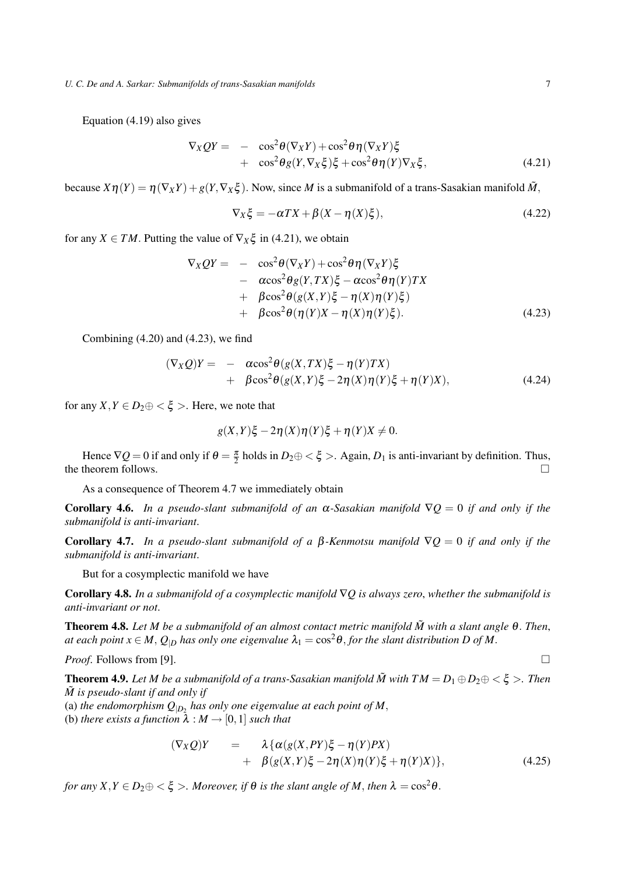Equation (4.19) also gives

$$
\nabla_X QY = -\cos^2 \theta (\nabla_X Y) + \cos^2 \theta \eta (\nabla_X Y) \xi \n+ \cos^2 \theta g(Y, \nabla_X \xi) \xi + \cos^2 \theta \eta (Y) \nabla_X \xi,
$$
\n(4.21)

because  $X\eta(Y) = \eta(\nabla_X Y) + g(Y, \nabla_X \xi)$ . Now, since *M* is a submanifold of a trans-Sasakian manifold  $\tilde{M}$ ,

$$
\nabla_X \xi = -\alpha TX + \beta (X - \eta(X)\xi), \qquad (4.22)
$$

for any *X*  $\in TM$ . Putting the value of  $\nabla_X \xi$  in (4.21), we obtain

$$
\nabla_X QY = -\cos^2 \theta (\nabla_X Y) + \cos^2 \theta \eta (\nabla_X Y) \xi \n- \alpha \cos^2 \theta g(Y, TX) \xi - \alpha \cos^2 \theta \eta (Y) TX \n+ \beta \cos^2 \theta (g(X, Y) \xi - \eta (X) \eta (Y) \xi) \n+ \beta \cos^2 \theta (\eta (Y) X - \eta (X) \eta (Y) \xi).
$$
\n(4.23)

Combining  $(4.20)$  and  $(4.23)$ , we find

$$
(\nabla_X Q)Y = -\alpha \cos^2 \theta (g(X, TX)\xi - \eta(Y)TX) + \beta \cos^2 \theta (g(X, Y)\xi - 2\eta(X)\eta(Y)\xi + \eta(Y)X),
$$
(4.24)

for any  $X, Y \in D_2 \oplus \langle \xi \rangle$ . Here, we note that

$$
g(X,Y)\xi - 2\eta(X)\eta(Y)\xi + \eta(Y)X \neq 0.
$$

Hence  $\nabla Q = 0$  if and only if  $\theta = \frac{\pi}{2}$  holds in  $D_2 \oplus \langle \xi \rangle$ . Again,  $D_1$  is anti-invariant by definition. Thus, the theorem follows.  $\Box$ 

As a consequence of Theorem 4.7 we immediately obtain

Corollary 4.6. *In a pseudo-slant submanifold of an* <sup>α</sup>*-Sasakian manifold* ∇*Q* = 0 *if and only if the submanifold is anti-invariant*.

Corollary 4.7. *In a pseudo-slant submanifold of a* β*-Kenmotsu manifold* ∇*Q* = 0 *if and only if the submanifold is anti-invariant*.

But for a cosymplectic manifold we have

Corollary 4.8. *In a submanifold of a cosymplectic manifold* ∇*Q is always zero*, *whether the submanifold is anti-invariant or not*.

Theorem 4.8. *Let M be a submanifold of an almost contact metric manifold M*˜ *with a slant angle* <sup>θ</sup>. *Then*, *at each point*  $x \in M$ ,  $Q_{|D}$  *has only one eigenvalue*  $\lambda_1 = \cos^2 \theta$ , *for the slant distribution D of M*.

*Proof.* Follows from [9].  $\Box$ 

**Theorem 4.9.** Let *M* be a submanifold of a trans-Sasakian manifold  $\tilde{M}$  with  $TM = D_1 \oplus D_2 \oplus \langle \xi \rangle$ . Then *M*˜ *is pseudo-slant if and only if*

(a) the endomorphism  $Q_{|D_2}$  has only one eigenvalue at each point of M,

(b) *there exists a function*  $\lambda : M \to [0,1]$  *such that* 

$$
(\nabla_X Q)Y = \lambda \{ \alpha(g(X, PY)\xi - \eta(Y)PX) + \beta(g(X, Y)\xi - 2\eta(X)\eta(Y)\xi + \eta(Y)X) \},
$$
\n(4.25)

*for any*  $X, Y \in D_2 \oplus \langle \xi \rangle$ *. Moreover, if*  $\theta$  *is the slant angle of*  $M$ *, then*  $\lambda = \cos^2 \theta$ *.*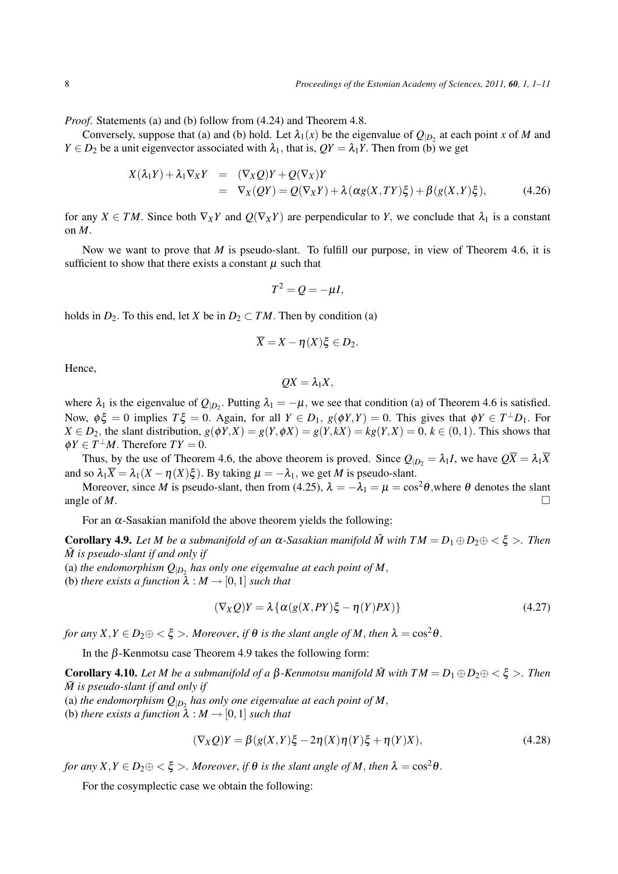*Proof.* Statements (a) and (b) follow from (4.24) and Theorem 4.8.

Conversely, suppose that (a) and (b) hold. Let  $\lambda_1(x)$  be the eigenvalue of  $Q_{|D_2}$  at each point *x* of *M* and *Y*  $\in$  *D*<sub>2</sub> be a unit eigenvector associated with  $\lambda_1$ , that is,  $QY = \lambda_1 Y$ . Then from (b) we get

$$
X(\lambda_1 Y) + \lambda_1 \nabla_X Y = (\nabla_X Q)Y + Q(\nabla_X)Y
$$
  
= 
$$
\nabla_X (QY) = Q(\nabla_X Y) + \lambda (\alpha g(X, TY)\xi) + \beta (g(X, Y)\xi),
$$
 (4.26)

for any  $X \in TM$ . Since both  $\nabla_X Y$  and  $Q(\nabla_X Y)$  are perpendicular to *Y*, we conclude that  $\lambda_1$  is a constant on *M*.

Now we want to prove that *M* is pseudo-slant. To fulfill our purpose, in view of Theorem 4.6, it is sufficient to show that there exists a constant  $\mu$  such that

$$
T^2 = Q = -\mu I,
$$

holds in  $D_2$ . To this end, let *X* be in  $D_2 \subset TM$ . Then by condition (a)

$$
\overline{X} = X - \eta(X)\xi \in D_2.
$$

Hence,

$$
QX=\lambda_1X,
$$

where  $\lambda_1$  is the eigenvalue of  $Q_{|D_2}$ . Putting  $\lambda_1 = -\mu$ , we see that condition (a) of Theorem 4.6 is satisfied. Now,  $\phi\xi = 0$  implies  $T\xi = 0$ . Again, for all  $Y \in D_1$ ,  $g(\phi Y, Y) = 0$ . This gives that  $\phi Y \in T^{\perp}D_1$ . For  $X \in D_2$ , the slant distribution,  $g(\phi Y, X) = g(Y, \phi X) = g(Y, kX) = kg(Y, X) = 0, k \in (0, 1)$ . This shows that  $\phi Y \in T^{\perp}M$ . Therefore  $TY = 0$ .

Thus, by the use of Theorem 4.6, the above theorem is proved. Since  $Q_{|D_2} = \lambda_1 I$ , we have  $Q\overline{X} = \lambda_1 \overline{X}$ and so  $\lambda_1 \overline{X} = \lambda_1 (X - \eta(X)\xi)$ . By taking  $\mu = -\lambda_1$ , we get *M* is pseudo-slant.

Moreover, since *M* is pseudo-slant, then from (4.25),  $\lambda = -\lambda_1 = \mu = \cos^2 \theta$ , where  $\theta$  denotes the slant angle of *M*.

For an  $\alpha$ -Sasakian manifold the above theorem yields the following:

**Corollary 4.9.** Let *M* be a submanifold of an  $\alpha$ -Sasakian manifold  $\tilde{M}$  with  $TM = D_1 \oplus D_2 \oplus \langle \xi \rangle$ . Then *M*˜ *is pseudo-slant if and only if*

(a) the endomorphism  $Q_{|D_2}$  has only one eigenvalue at each point of M,

(b) *there exists a function*  $\lambda : M \rightarrow [0,1]$  *such that* 

$$
(\nabla_X Q)Y = \lambda \{ \alpha(g(X, PY)\xi - \eta(Y)PX) \}
$$
\n(4.27)

*for any*  $X, Y \in D_2 \oplus \langle \xi \rangle$ *. Moreover, if*  $\theta$  *is the slant angle of*  $M$ *, then*  $\lambda = \cos^2 \theta$ *.* 

In the  $β$ -Kenmotsu case Theorem 4.9 takes the following form:

Corollary 4.10. Let *M* be a submanifold of a β-Kenmotsu manifold  $\tilde{M}$  with  $TM = D_1 \oplus D_2 \oplus \langle \xi \rangle$ . Then *M*˜ *is pseudo-slant if and only if*

(a) the endomorphism  $Q_{|D_2}$  has only one eigenvalue at each point of M,

(b) *there exists a function*  $\lambda : M \to [0,1]$  *such that* 

$$
(\nabla_X Q)Y = \beta(g(X, Y)\xi - 2\eta(X)\eta(Y)\xi + \eta(Y)X),\tag{4.28}
$$

*for any*  $X, Y \in D_2 \oplus \langle \xi \rangle$ *. Moreover, if*  $\theta$  *is the slant angle of M, then*  $\lambda = \cos^2 \theta$ *.* 

For the cosymplectic case we obtain the following: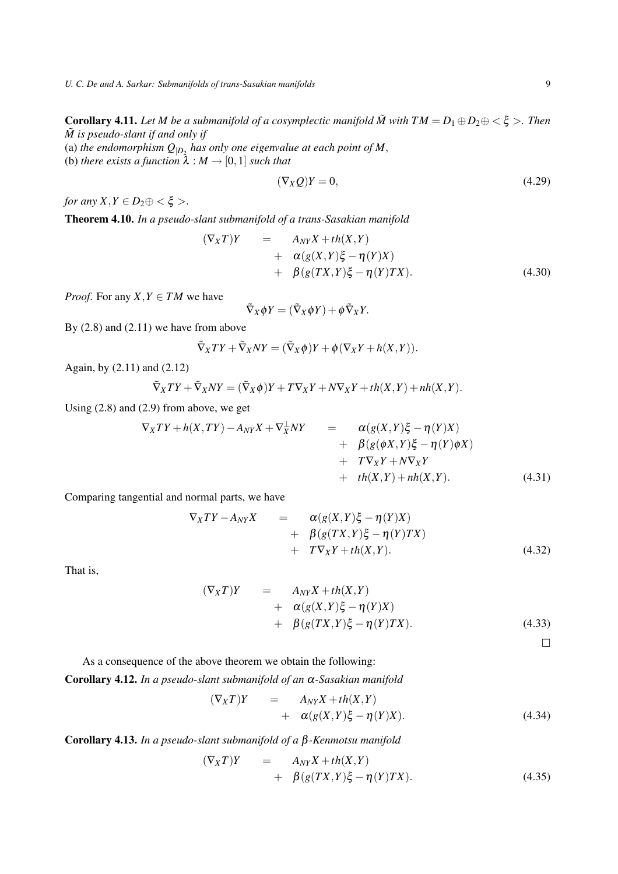*U. C. De and A. Sarkar: Submanifolds of trans-Sasakian manifolds* 9

Corollary 4.11. Let *M* be a submanifold of a cosymplectic manifold  $\tilde{M}$  with  $TM = D_1 \oplus D_2 \oplus \langle \xi \rangle$ . Then *M*˜ *is pseudo-slant if and only if*

(a) the endomorphism  $Q_{|D_2}$  has only one eigenvalue at each point of M, (b) *there exists a function*  $\lambda : M \to [0,1]$  *such that* 

$$
(\nabla_X Q)Y = 0,\t\t(4.29)
$$

*for any*  $X, Y \in D_2 \oplus \langle \xi \rangle$ .

Theorem 4.10. *In a pseudo-slant submanifold of a trans-Sasakian manifold*

$$
(\nabla_X T)Y = A_{NY}X + th(X, Y)
$$
  
+  $\alpha(g(X, Y)\xi - \eta(Y)X)$   
+  $\beta(g(TX, Y)\xi - \eta(Y)TX).$  (4.30)

*Proof.* For any *X*,  $Y \in TM$  we have

$$
\tilde{\nabla}_X \phi Y = (\tilde{\nabla}_X \phi Y) + \phi \tilde{\nabla}_X Y.
$$

By  $(2.8)$  and  $(2.11)$  we have from above

$$
\tilde{\nabla}_X TY + \tilde{\nabla}_X NY = (\tilde{\nabla}_X \phi) Y + \phi (\nabla_X Y + h(X, Y)).
$$

Again, by (2.11) and (2.12)

$$
\tilde{\nabla}_X TY + \tilde{\nabla}_X NY = (\tilde{\nabla}_X \phi)Y + T \nabla_X Y + N \nabla_X Y + th(X, Y) + nh(X, Y).
$$

Using (2.8) and (2.9) from above, we get

$$
\nabla_X TY + h(X, TY) - A_{NY} X + \nabla_X^{\perp} NY = \begin{array}{rcl} \alpha(g(X, Y) \xi - \eta(Y)X) \\ &+ \beta(g(\phi X, Y) \xi - \eta(Y) \phi X) \\ &+ \gamma \nabla_X Y + N \nabla_X Y \\ &+ \epsilon h(X, Y) + n h(X, Y). \end{array} \tag{4.31}
$$

Comparing tangential and normal parts, we have

$$
\nabla_X TY - A_{NY} X = \alpha(g(X, Y) \xi - \eta(Y) X)
$$
  
+  $\beta(g(TX, Y) \xi - \eta(Y) TX)$   
+  $T \nabla_X Y + th(X, Y).$  (4.32)

That is,

$$
(\nabla_X T)Y = A_{NY}X + th(X, Y)
$$
  
+  $\alpha(g(X, Y)\xi - \eta(Y)X)$   
+  $\beta(g(TX, Y)\xi - \eta(Y)TX).$  (4.33)

 $\Box$ 

As a consequence of the above theorem we obtain the following:

Corollary 4.12. *In a pseudo-slant submanifold of an* <sup>α</sup>*-Sasakian manifold*

$$
(\nabla_X T)Y = A_{NY}X + th(X,Y) + \alpha(g(X,Y)\xi - \eta(Y)X).
$$
 (4.34)

Corollary 4.13. *In a pseudo-slant submanifold of a* β*-Kenmotsu manifold*

$$
(\nabla_X T)Y = A_{NY}X + th(X, Y)
$$
  
+  $\beta (g(TX, Y)\xi - \eta(Y)TX).$  (4.35)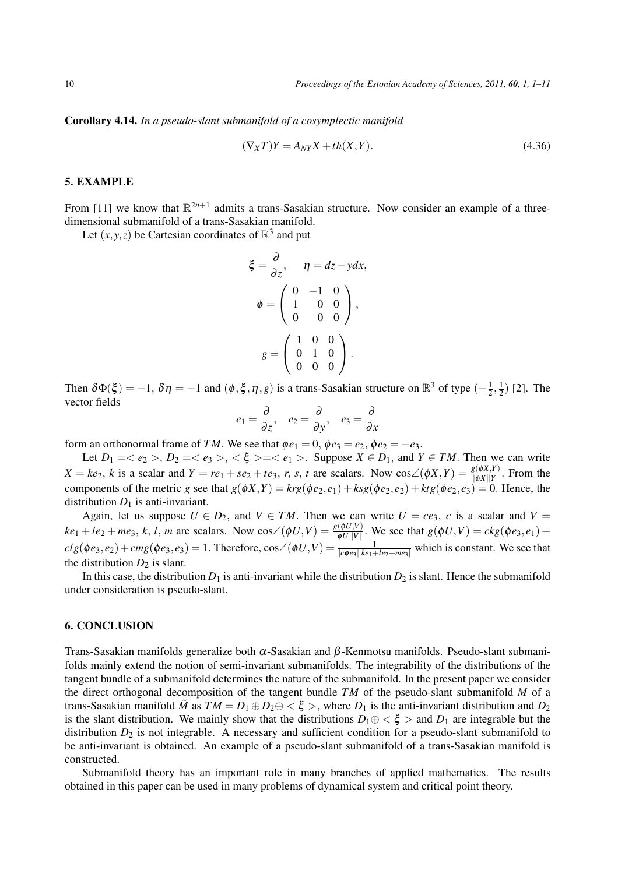Corollary 4.14. *In a pseudo-slant submanifold of a cosymplectic manifold*

$$
(\nabla_X T)Y = A_{NY}X + th(X, Y). \tag{4.36}
$$

### 5. EXAMPLE

From [11] we know that  $\mathbb{R}^{2n+1}$  admits a trans-Sasakian structure. Now consider an example of a threedimensional submanifold of a trans-Sasakian manifold.

Let  $(x, y, z)$  be Cartesian coordinates of  $\mathbb{R}^3$  and put

$$
\xi = \frac{\partial}{\partial z}, \quad \eta = dz - y dx,
$$

$$
\phi = \begin{pmatrix} 0 & -1 & 0 \\ 1 & 0 & 0 \\ 0 & 0 & 0 \end{pmatrix},
$$

$$
g = \begin{pmatrix} 1 & 0 & 0 \\ 0 & 1 & 0 \\ 0 & 0 & 0 \end{pmatrix}.
$$

Then  $\delta\Phi(\xi) = -1$ ,  $\delta\eta = -1$  and  $(\phi, \xi, \eta, g)$  is a trans-Sasakian structure on  $\mathbb{R}^3$  of type  $\left(-\frac{1}{2}, \frac{1}{2}, \frac{1}{2}\right)$  $\frac{1}{2}, \frac{1}{2}$  $(\frac{1}{2})$  [2]. The vector fields

$$
e_1 = \frac{\partial}{\partial z}, \quad e_2 = \frac{\partial}{\partial y}, \quad e_3 = \frac{\partial}{\partial x}
$$

form an orthonormal frame of *TM*. We see that  $\phi e_1 = 0$ ,  $\phi e_3 = e_2$ ,  $\phi e_2 = -e_3$ .

Let  $D_1 = \langle e_2 \rangle, D_2 = \langle e_3 \rangle, \langle \xi \rangle = \langle e_1 \rangle$ . Suppose  $X \in D_1$ , and  $Y \in TM$ . Then we can write  $X = ke_2$ , k is a scalar and  $Y = re_1 + se_2 + te_3$ , r, s, t are scalars. Now  $cos\angle(\phi X, Y) = \frac{g(\phi X, Y)}{|\phi X||Y|}$ . From the components of the metric *g* see that  $g(\phi X, Y) = krg(\phi e_2, e_1) + ksg(\phi e_2, e_2) + ktg(\phi e_2, e_3) = 0$ . Hence, the distribution  $D_1$  is anti-invariant.

Again, let us suppose  $U \in D_2$ , and  $V \in TM$ . Then we can write  $U = ce_3$ , *c* is a scalar and  $V =$  $ke_1 + le_2 + me_3$ , k, l, m are scalars. Now  $cos\angle(\phi U, V) = \frac{g(\phi U, V)}{|\phi U||V|}$ . We see that  $g(\phi U, V) = ckg(\phi e_3, e_1) +$  $clg(\phi e_3, e_2) + cmg(\phi e_3, e_3) = 1$ . Therefore,  $cos\angle(\phi U, V) = \frac{1}{|c\phi e_3||ke_1 + le_2 + me_3|}$  which is constant. We see that the distribution  $D_2$  is slant.

In this case, the distribution  $D_1$  is anti-invariant while the distribution  $D_2$  is slant. Hence the submanifold under consideration is pseudo-slant.

#### 6. CONCLUSION

Trans-Sasakian manifolds generalize both  $\alpha$ -Sasakian and  $\beta$ -Kenmotsu manifolds. Pseudo-slant submanifolds mainly extend the notion of semi-invariant submanifolds. The integrability of the distributions of the tangent bundle of a submanifold determines the nature of the submanifold. In the present paper we consider the direct orthogonal decomposition of the tangent bundle *T M* of the pseudo-slant submanifold *M* of a trans-Sasakian manifold  $\tilde{M}$  as  $TM = D_1 \oplus D_2 \oplus \langle \xi \rangle$ , where  $D_1$  is the anti-invariant distribution and  $D_2$ is the slant distribution. We mainly show that the distributions  $D_1 \oplus \langle \xi \rangle$  and  $D_1$  are integrable but the distribution  $D_2$  is not integrable. A necessary and sufficient condition for a pseudo-slant submanifold to be anti-invariant is obtained. An example of a pseudo-slant submanifold of a trans-Sasakian manifold is constructed.

Submanifold theory has an important role in many branches of applied mathematics. The results obtained in this paper can be used in many problems of dynamical system and critical point theory.